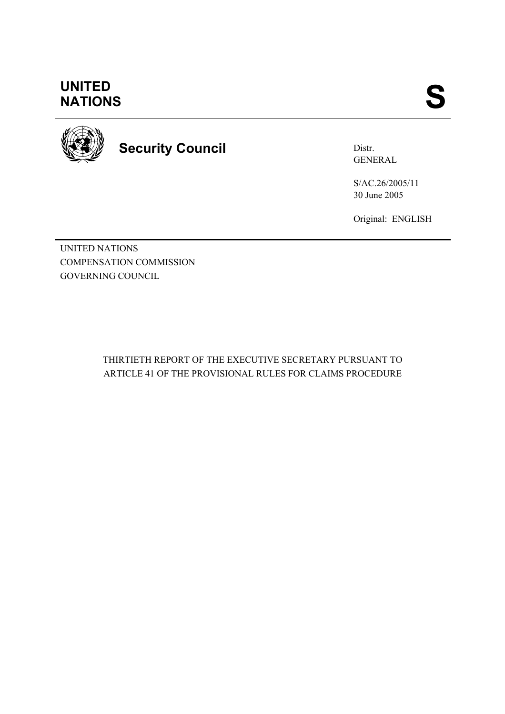## **UNITED<br>NATIONS** UNITED<br>NATIONS SANTIONS



# **Security Council**

Distr. GENERAL

S/AC.26/2005/11 30 June 2005

Original: ENGLISH

UNITED NATIONS COMPENSATION COMMISSION GOVERNING COUNCIL

> THIRTIETH REPORT OF THE EXECUTIVE SECRETARY PURSUANT TO ARTICLE 41 OF THE PROVISIONAL RULES FOR CLAIMS PROCEDURE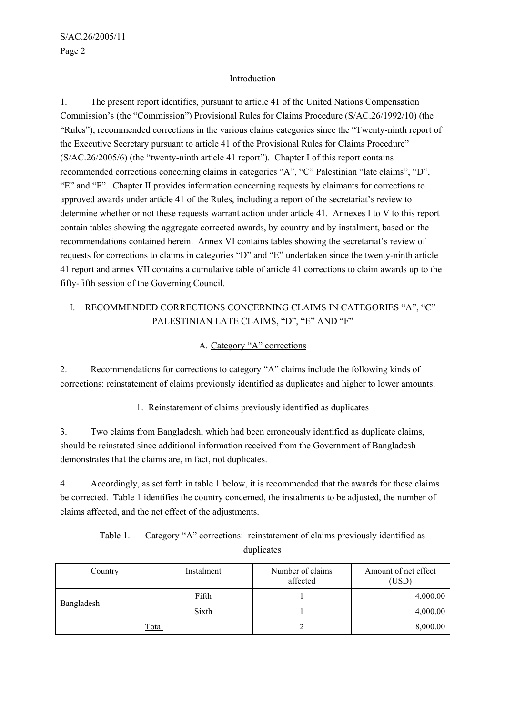#### **Introduction**

1. The present report identifies, pursuant to article 41 of the United Nations Compensation Commission's (the "Commission") Provisional Rules for Claims Procedure (S/AC.26/1992/10) (the "Rules"), recommended corrections in the various claims categories since the "Twenty-ninth report of the Executive Secretary pursuant to article 41 of the Provisional Rules for Claims Procedure" (S/AC.26/2005/6) (the "twenty-ninth article 41 report"). Chapter I of this report contains recommended corrections concerning claims in categories "A", "C" Palestinian "late claims", "D", "E" and "F". Chapter II provides information concerning requests by claimants for corrections to approved awards under article 41 of the Rules, including a report of the secretariat's review to determine whether or not these requests warrant action under article 41. Annexes I to V to this report contain tables showing the aggregate corrected awards, by country and by instalment, based on the recommendations contained herein. Annex VI contains tables showing the secretariat's review of requests for corrections to claims in categories "D" and "E" undertaken since the twenty-ninth article 41 report and annex VII contains a cumulative table of article 41 corrections to claim awards up to the fifty-fifth session of the Governing Council.

## I. RECOMMENDED CORRECTIONS CONCERNING CLAIMS IN CATEGORIES "A", "C" PALESTINIAN LATE CLAIMS, "D", "E" AND "F"

#### A. Category "A" corrections

2. Recommendations for corrections to category "A" claims include the following kinds of corrections: reinstatement of claims previously identified as duplicates and higher to lower amounts.

#### 1. Reinstatement of claims previously identified as duplicates

3. Two claims from Bangladesh, which had been erroneously identified as duplicate claims, should be reinstated since additional information received from the Government of Bangladesh demonstrates that the claims are, in fact, not duplicates.

4. Accordingly, as set forth in table 1 below, it is recommended that the awards for these claims be corrected. Table 1 identifies the country concerned, the instalments to be adjusted, the number of claims affected, and the net effect of the adjustments.

| Table 1. | Category "A" corrections: reinstatement of claims previously identified as |
|----------|----------------------------------------------------------------------------|
|          | duplicates                                                                 |

| Country      | Instalment | Number of claims<br>affected | Amount of net effect<br>(USD) |
|--------------|------------|------------------------------|-------------------------------|
| Bangladesh   | Fifth      |                              | 4,000.00                      |
|              | Sixth      |                              | 4,000.00                      |
| <u>Total</u> |            | ∼                            | 8,000.00                      |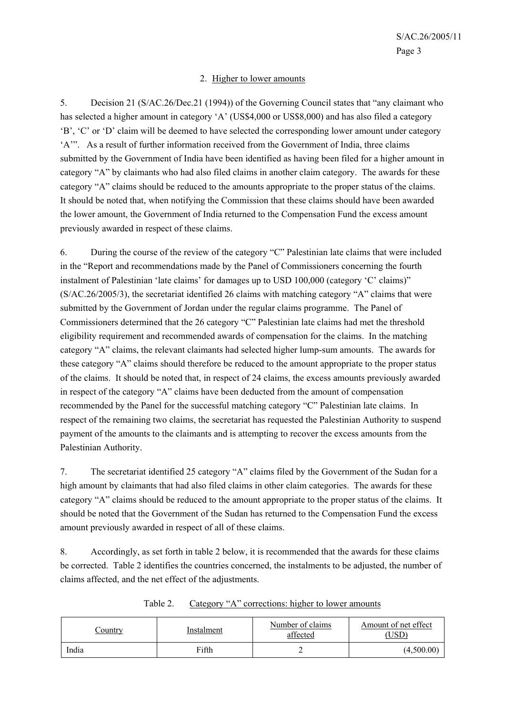#### 2. Higher to lower amounts

5. Decision 21 (S/AC.26/Dec.21 (1994)) of the Governing Council states that "any claimant who has selected a higher amount in category 'A' (US\$4,000 or US\$8,000) and has also filed a category 'B', 'C' or 'D' claim will be deemed to have selected the corresponding lower amount under category 'A'". As a result of further information received from the Government of India, three claims submitted by the Government of India have been identified as having been filed for a higher amount in category "A" by claimants who had also filed claims in another claim category. The awards for these category "A" claims should be reduced to the amounts appropriate to the proper status of the claims. It should be noted that, when notifying the Commission that these claims should have been awarded the lower amount, the Government of India returned to the Compensation Fund the excess amount previously awarded in respect of these claims.

6. During the course of the review of the category "C" Palestinian late claims that were included in the "Report and recommendations made by the Panel of Commissioners concerning the fourth instalment of Palestinian 'late claims' for damages up to USD 100,000 (category 'C' claims)" (S/AC.26/2005/3), the secretariat identified 26 claims with matching category "A" claims that were submitted by the Government of Jordan under the regular claims programme. The Panel of Commissioners determined that the 26 category "C" Palestinian late claims had met the threshold eligibility requirement and recommended awards of compensation for the claims. In the matching category "A" claims, the relevant claimants had selected higher lump-sum amounts. The awards for these category "A" claims should therefore be reduced to the amount appropriate to the proper status of the claims. It should be noted that, in respect of 24 claims, the excess amounts previously awarded in respect of the category "A" claims have been deducted from the amount of compensation recommended by the Panel for the successful matching category "C" Palestinian late claims. In respect of the remaining two claims, the secretariat has requested the Palestinian Authority to suspend payment of the amounts to the claimants and is attempting to recover the excess amounts from the Palestinian Authority.

7. The secretariat identified 25 category "A" claims filed by the Government of the Sudan for a high amount by claimants that had also filed claims in other claim categories. The awards for these category "A" claims should be reduced to the amount appropriate to the proper status of the claims. It should be noted that the Government of the Sudan has returned to the Compensation Fund the excess amount previously awarded in respect of all of these claims.

8. Accordingly, as set forth in table 2 below, it is recommended that the awards for these claims be corrected. Table 2 identifies the countries concerned, the instalments to be adjusted, the number of claims affected, and the net effect of the adjustments.

| <u>'ountry</u> | Instalment | Number of claims<br>affected | Amount of net effect<br>,USD' |
|----------------|------------|------------------------------|-------------------------------|
| India          | Fifth      |                              | (4,500.00)                    |

Table 2. Category "A" corrections: higher to lower amounts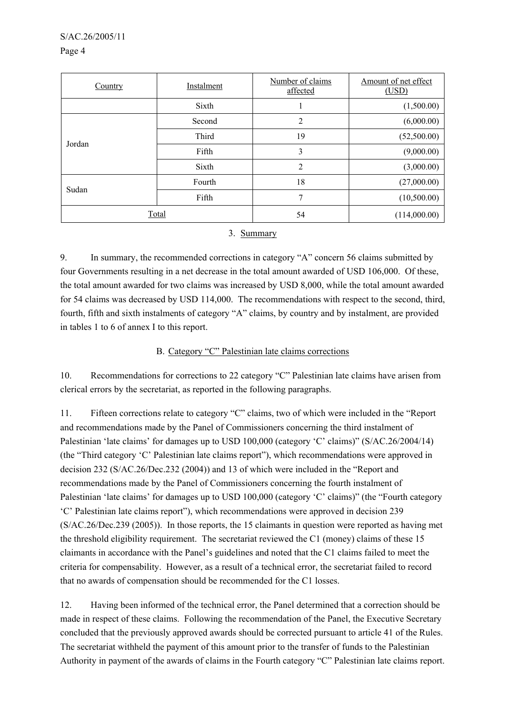#### S/AC.26/2005/11

#### Page 4

| Country | Instalment | Number of claims<br>affected | Amount of net effect<br>(USD) |
|---------|------------|------------------------------|-------------------------------|
|         | Sixth      |                              | (1,500.00)                    |
|         | Second     | 2                            | (6,000.00)                    |
|         | Third      | 19                           | (52,500.00)                   |
| Jordan  | Fifth      | 3                            | (9,000.00)                    |
|         | Sixth      | $\overline{2}$               | (3,000.00)                    |
| Sudan   | Fourth     | 18                           | (27,000.00)                   |
|         | Fifth      | 7                            | (10,500.00)                   |
| Total   |            | 54                           | (114,000.00)                  |

#### 3. Summary

9. In summary, the recommended corrections in category "A" concern 56 claims submitted by four Governments resulting in a net decrease in the total amount awarded of USD 106,000. Of these, the total amount awarded for two claims was increased by USD 8,000, while the total amount awarded for 54 claims was decreased by USD 114,000. The recommendations with respect to the second, third, fourth, fifth and sixth instalments of category "A" claims, by country and by instalment, are provided in tables 1 to 6 of annex I to this report.

#### B. Category "C" Palestinian late claims corrections

10. Recommendations for corrections to 22 category "C" Palestinian late claims have arisen from clerical errors by the secretariat, as reported in the following paragraphs.

11. Fifteen corrections relate to category "C" claims, two of which were included in the "Report and recommendations made by the Panel of Commissioners concerning the third instalment of Palestinian 'late claims' for damages up to USD 100,000 (category 'C' claims)" (S/AC.26/2004/14) (the "Third category 'C' Palestinian late claims report"), which recommendations were approved in decision 232 (S/AC.26/Dec.232 (2004)) and 13 of which were included in the "Report and recommendations made by the Panel of Commissioners concerning the fourth instalment of Palestinian 'late claims' for damages up to USD 100,000 (category 'C' claims)" (the "Fourth category 'C' Palestinian late claims report"), which recommendations were approved in decision 239 (S/AC.26/Dec.239 (2005)). In those reports, the 15 claimants in question were reported as having met the threshold eligibility requirement. The secretariat reviewed the C1 (money) claims of these 15 claimants in accordance with the Panel's guidelines and noted that the C1 claims failed to meet the criteria for compensability. However, as a result of a technical error, the secretariat failed to record that no awards of compensation should be recommended for the C1 losses.

12. Having been informed of the technical error, the Panel determined that a correction should be made in respect of these claims. Following the recommendation of the Panel, the Executive Secretary concluded that the previously approved awards should be corrected pursuant to article 41 of the Rules. The secretariat withheld the payment of this amount prior to the transfer of funds to the Palestinian Authority in payment of the awards of claims in the Fourth category "C" Palestinian late claims report.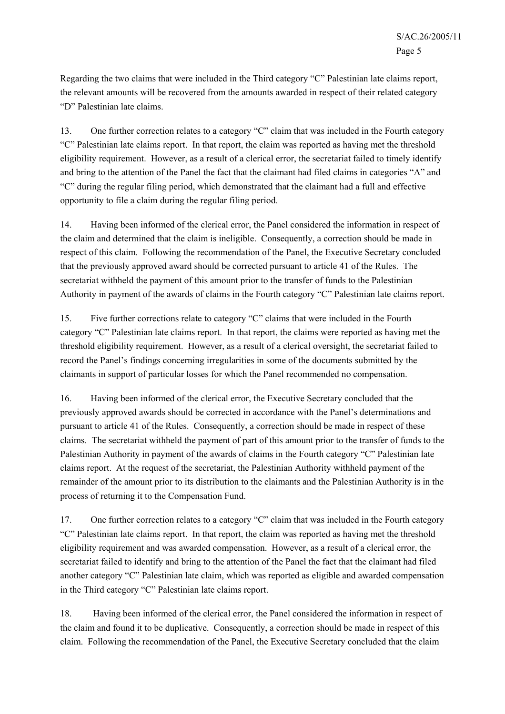Regarding the two claims that were included in the Third category "C" Palestinian late claims report, the relevant amounts will be recovered from the amounts awarded in respect of their related category "D" Palestinian late claims.

13. One further correction relates to a category "C" claim that was included in the Fourth category "C" Palestinian late claims report. In that report, the claim was reported as having met the threshold eligibility requirement. However, as a result of a clerical error, the secretariat failed to timely identify and bring to the attention of the Panel the fact that the claimant had filed claims in categories "A" and "C" during the regular filing period, which demonstrated that the claimant had a full and effective opportunity to file a claim during the regular filing period.

14. Having been informed of the clerical error, the Panel considered the information in respect of the claim and determined that the claim is ineligible. Consequently, a correction should be made in respect of this claim. Following the recommendation of the Panel, the Executive Secretary concluded that the previously approved award should be corrected pursuant to article 41 of the Rules. The secretariat withheld the payment of this amount prior to the transfer of funds to the Palestinian Authority in payment of the awards of claims in the Fourth category "C" Palestinian late claims report.

15. Five further corrections relate to category "C" claims that were included in the Fourth category "C" Palestinian late claims report. In that report, the claims were reported as having met the threshold eligibility requirement. However, as a result of a clerical oversight, the secretariat failed to record the Panel's findings concerning irregularities in some of the documents submitted by the claimants in support of particular losses for which the Panel recommended no compensation.

16. Having been informed of the clerical error, the Executive Secretary concluded that the previously approved awards should be corrected in accordance with the Panel's determinations and pursuant to article 41 of the Rules. Consequently, a correction should be made in respect of these claims. The secretariat withheld the payment of part of this amount prior to the transfer of funds to the Palestinian Authority in payment of the awards of claims in the Fourth category "C" Palestinian late claims report. At the request of the secretariat, the Palestinian Authority withheld payment of the remainder of the amount prior to its distribution to the claimants and the Palestinian Authority is in the process of returning it to the Compensation Fund.

17. One further correction relates to a category "C" claim that was included in the Fourth category "C" Palestinian late claims report. In that report, the claim was reported as having met the threshold eligibility requirement and was awarded compensation. However, as a result of a clerical error, the secretariat failed to identify and bring to the attention of the Panel the fact that the claimant had filed another category "C" Palestinian late claim, which was reported as eligible and awarded compensation in the Third category "C" Palestinian late claims report.

18. Having been informed of the clerical error, the Panel considered the information in respect of the claim and found it to be duplicative. Consequently, a correction should be made in respect of this claim. Following the recommendation of the Panel, the Executive Secretary concluded that the claim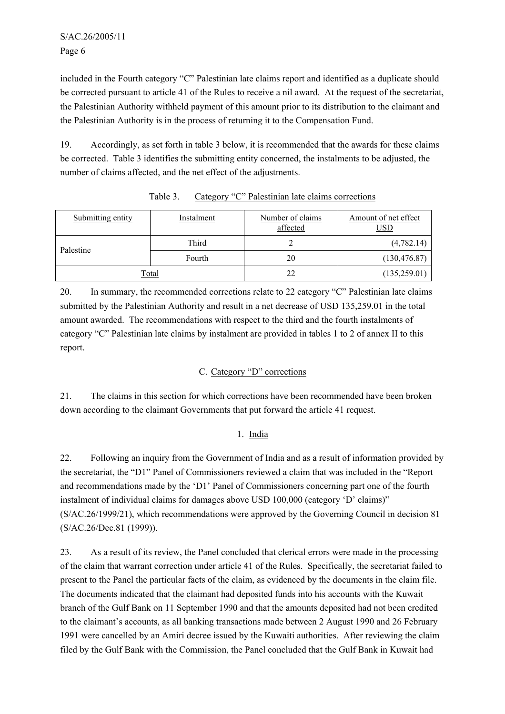included in the Fourth category "C" Palestinian late claims report and identified as a duplicate should be corrected pursuant to article 41 of the Rules to receive a nil award. At the request of the secretariat, the Palestinian Authority withheld payment of this amount prior to its distribution to the claimant and the Palestinian Authority is in the process of returning it to the Compensation Fund.

19. Accordingly, as set forth in table 3 below, it is recommended that the awards for these claims be corrected. Table 3 identifies the submitting entity concerned, the instalments to be adjusted, the number of claims affected, and the net effect of the adjustments.

| Submitting entity | Instalment | Number of claims<br>affected | Amount of net effect<br>USD |
|-------------------|------------|------------------------------|-----------------------------|
| Palestine         | Third      |                              | (4,782.14)                  |
|                   | Fourth     | 20                           | (130, 476.87)               |
| Total             |            | 22                           | (135, 259.01)               |

Table 3. Category "C" Palestinian late claims corrections

20. In summary, the recommended corrections relate to 22 category "C" Palestinian late claims submitted by the Palestinian Authority and result in a net decrease of USD 135,259.01 in the total amount awarded. The recommendations with respect to the third and the fourth instalments of category "C" Palestinian late claims by instalment are provided in tables 1 to 2 of annex II to this report.

## C. Category "D" corrections

21. The claims in this section for which corrections have been recommended have been broken down according to the claimant Governments that put forward the article 41 request.

## 1. India

22. Following an inquiry from the Government of India and as a result of information provided by the secretariat, the "D1" Panel of Commissioners reviewed a claim that was included in the "Report and recommendations made by the 'D1' Panel of Commissioners concerning part one of the fourth instalment of individual claims for damages above USD 100,000 (category 'D' claims)" (S/AC.26/1999/21), which recommendations were approved by the Governing Council in decision 81 (S/AC.26/Dec.81 (1999)).

23. As a result of its review, the Panel concluded that clerical errors were made in the processing of the claim that warrant correction under article 41 of the Rules. Specifically, the secretariat failed to present to the Panel the particular facts of the claim, as evidenced by the documents in the claim file. The documents indicated that the claimant had deposited funds into his accounts with the Kuwait branch of the Gulf Bank on 11 September 1990 and that the amounts deposited had not been credited to the claimant's accounts, as all banking transactions made between 2 August 1990 and 26 February 1991 were cancelled by an Amiri decree issued by the Kuwaiti authorities. After reviewing the claim filed by the Gulf Bank with the Commission, the Panel concluded that the Gulf Bank in Kuwait had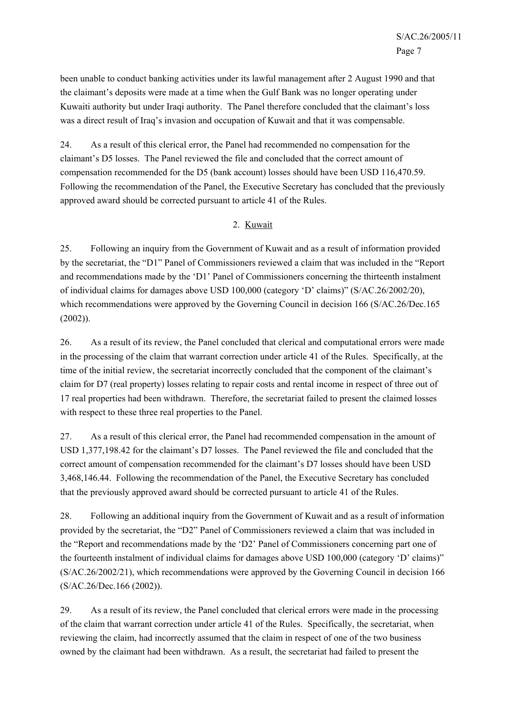been unable to conduct banking activities under its lawful management after 2 August 1990 and that the claimant's deposits were made at a time when the Gulf Bank was no longer operating under Kuwaiti authority but under Iraqi authority. The Panel therefore concluded that the claimant's loss was a direct result of Iraq's invasion and occupation of Kuwait and that it was compensable.

24. As a result of this clerical error, the Panel had recommended no compensation for the claimant's D5 losses. The Panel reviewed the file and concluded that the correct amount of compensation recommended for the D5 (bank account) losses should have been USD 116,470.59. Following the recommendation of the Panel, the Executive Secretary has concluded that the previously approved award should be corrected pursuant to article 41 of the Rules.

#### 2. Kuwait

25. Following an inquiry from the Government of Kuwait and as a result of information provided by the secretariat, the "D1" Panel of Commissioners reviewed a claim that was included in the "Report and recommendations made by the 'D1' Panel of Commissioners concerning the thirteenth instalment of individual claims for damages above USD 100,000 (category 'D' claims)" (S/AC.26/2002/20), which recommendations were approved by the Governing Council in decision 166 (S/AC.26/Dec.165) (2002)).

26. As a result of its review, the Panel concluded that clerical and computational errors were made in the processing of the claim that warrant correction under article 41 of the Rules. Specifically, at the time of the initial review, the secretariat incorrectly concluded that the component of the claimant's claim for D7 (real property) losses relating to repair costs and rental income in respect of three out of 17 real properties had been withdrawn. Therefore, the secretariat failed to present the claimed losses with respect to these three real properties to the Panel.

27. As a result of this clerical error, the Panel had recommended compensation in the amount of USD 1,377,198.42 for the claimant's D7 losses. The Panel reviewed the file and concluded that the correct amount of compensation recommended for the claimant's D7 losses should have been USD 3,468,146.44. Following the recommendation of the Panel, the Executive Secretary has concluded that the previously approved award should be corrected pursuant to article 41 of the Rules.

28. Following an additional inquiry from the Government of Kuwait and as a result of information provided by the secretariat, the "D2" Panel of Commissioners reviewed a claim that was included in the "Report and recommendations made by the 'D2' Panel of Commissioners concerning part one of the fourteenth instalment of individual claims for damages above USD 100,000 (category 'D' claims)" (S/AC.26/2002/21), which recommendations were approved by the Governing Council in decision 166 (S/AC.26/Dec.166 (2002)).

29. As a result of its review, the Panel concluded that clerical errors were made in the processing of the claim that warrant correction under article 41 of the Rules. Specifically, the secretariat, when reviewing the claim, had incorrectly assumed that the claim in respect of one of the two business owned by the claimant had been withdrawn. As a result, the secretariat had failed to present the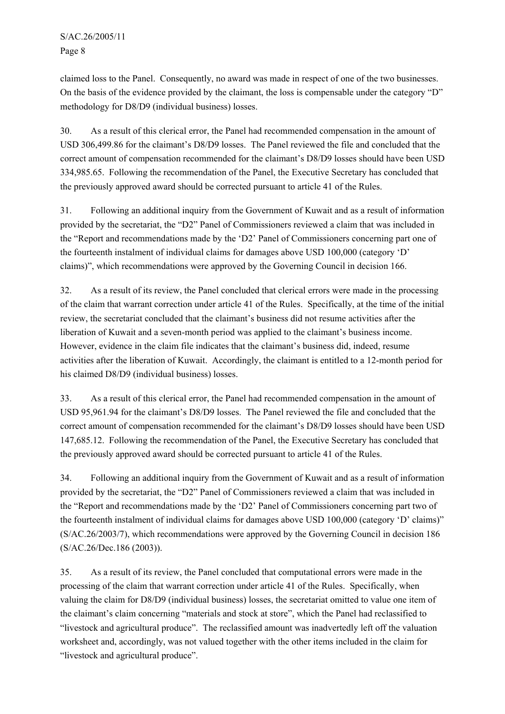claimed loss to the Panel. Consequently, no award was made in respect of one of the two businesses. On the basis of the evidence provided by the claimant, the loss is compensable under the category "D" methodology for D8/D9 (individual business) losses.

30. As a result of this clerical error, the Panel had recommended compensation in the amount of USD 306,499.86 for the claimant's D8/D9 losses. The Panel reviewed the file and concluded that the correct amount of compensation recommended for the claimant's D8/D9 losses should have been USD 334,985.65. Following the recommendation of the Panel, the Executive Secretary has concluded that the previously approved award should be corrected pursuant to article 41 of the Rules.

31. Following an additional inquiry from the Government of Kuwait and as a result of information provided by the secretariat, the "D2" Panel of Commissioners reviewed a claim that was included in the "Report and recommendations made by the 'D2' Panel of Commissioners concerning part one of the fourteenth instalment of individual claims for damages above USD 100,000 (category 'D' claims)", which recommendations were approved by the Governing Council in decision 166.

32. As a result of its review, the Panel concluded that clerical errors were made in the processing of the claim that warrant correction under article 41 of the Rules. Specifically, at the time of the initial review, the secretariat concluded that the claimant's business did not resume activities after the liberation of Kuwait and a seven-month period was applied to the claimant's business income. However, evidence in the claim file indicates that the claimant's business did, indeed, resume activities after the liberation of Kuwait. Accordingly, the claimant is entitled to a 12-month period for his claimed D8/D9 (individual business) losses.

33. As a result of this clerical error, the Panel had recommended compensation in the amount of USD 95,961.94 for the claimant's D8/D9 losses. The Panel reviewed the file and concluded that the correct amount of compensation recommended for the claimant's D8/D9 losses should have been USD 147,685.12. Following the recommendation of the Panel, the Executive Secretary has concluded that the previously approved award should be corrected pursuant to article 41 of the Rules.

34. Following an additional inquiry from the Government of Kuwait and as a result of information provided by the secretariat, the "D2" Panel of Commissioners reviewed a claim that was included in the "Report and recommendations made by the 'D2' Panel of Commissioners concerning part two of the fourteenth instalment of individual claims for damages above USD 100,000 (category 'D' claims)" (S/AC.26/2003/7), which recommendations were approved by the Governing Council in decision 186 (S/AC.26/Dec.186 (2003)).

35. As a result of its review, the Panel concluded that computational errors were made in the processing of the claim that warrant correction under article 41 of the Rules. Specifically, when valuing the claim for D8/D9 (individual business) losses, the secretariat omitted to value one item of the claimant's claim concerning "materials and stock at store", which the Panel had reclassified to "livestock and agricultural produce". The reclassified amount was inadvertedly left off the valuation worksheet and, accordingly, was not valued together with the other items included in the claim for "livestock and agricultural produce".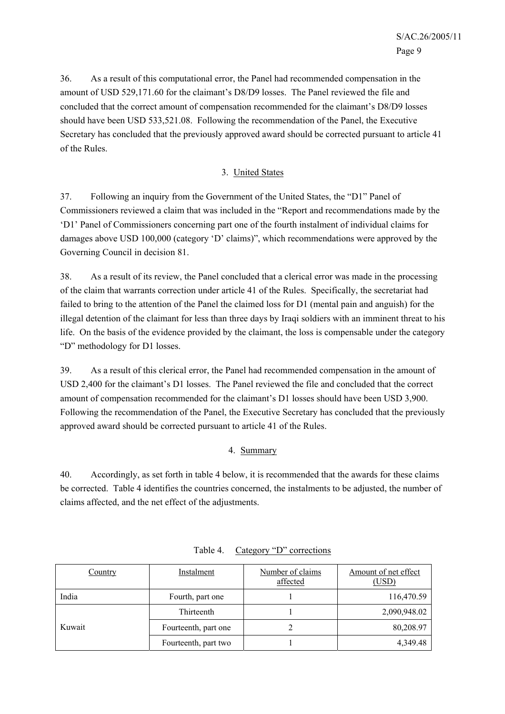36. As a result of this computational error, the Panel had recommended compensation in the amount of USD 529,171.60 for the claimant's D8/D9 losses. The Panel reviewed the file and concluded that the correct amount of compensation recommended for the claimant's D8/D9 losses should have been USD 533,521.08. Following the recommendation of the Panel, the Executive Secretary has concluded that the previously approved award should be corrected pursuant to article 41 of the Rules.

#### 3. United States

37. Following an inquiry from the Government of the United States, the "D1" Panel of Commissioners reviewed a claim that was included in the "Report and recommendations made by the 'D1' Panel of Commissioners concerning part one of the fourth instalment of individual claims for damages above USD 100,000 (category 'D' claims)", which recommendations were approved by the Governing Council in decision 81.

38. As a result of its review, the Panel concluded that a clerical error was made in the processing of the claim that warrants correction under article 41 of the Rules. Specifically, the secretariat had failed to bring to the attention of the Panel the claimed loss for D1 (mental pain and anguish) for the illegal detention of the claimant for less than three days by Iraqi soldiers with an imminent threat to his life. On the basis of the evidence provided by the claimant, the loss is compensable under the category "D" methodology for D1 losses.

39. As a result of this clerical error, the Panel had recommended compensation in the amount of USD 2,400 for the claimant's D1 losses. The Panel reviewed the file and concluded that the correct amount of compensation recommended for the claimant's D1 losses should have been USD 3,900. Following the recommendation of the Panel, the Executive Secretary has concluded that the previously approved award should be corrected pursuant to article 41 of the Rules.

## 4. Summary

40. Accordingly, as set forth in table 4 below, it is recommended that the awards for these claims be corrected. Table 4 identifies the countries concerned, the instalments to be adjusted, the number of claims affected, and the net effect of the adjustments.

| <b>Country</b> | Instalment           | Number of claims<br>affected | Amount of net effect<br>(USD) |
|----------------|----------------------|------------------------------|-------------------------------|
| India          | Fourth, part one     |                              | 116,470.59                    |
|                | Thirteenth           |                              | 2,090,948.02                  |
| Kuwait         | Fourteenth, part one |                              | 80,208.97                     |
|                | Fourteenth, part two |                              | 4,349.48                      |

Table 4. Category "D" corrections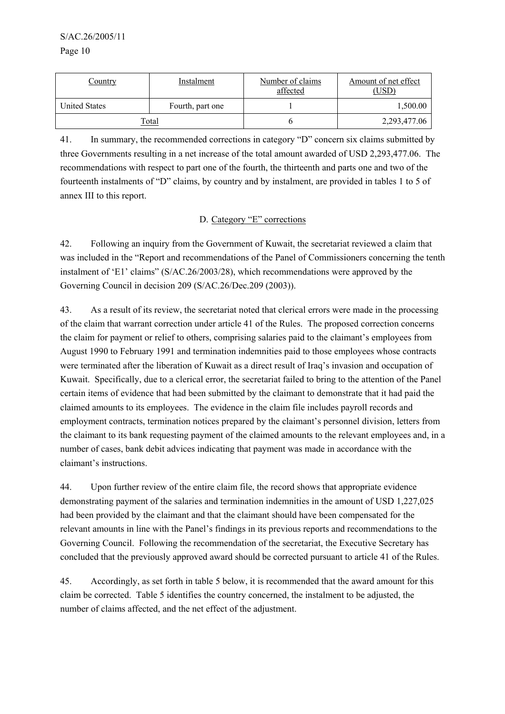S/AC.26/2005/11

Page 10

| <u>Country</u>       | Instalment       | Number of claims<br>affected | Amount of net effect<br>(USD) |
|----------------------|------------------|------------------------------|-------------------------------|
| <b>United States</b> | Fourth, part one |                              | 1,500.00                      |
|                      | Total            |                              | 2,293,477.06                  |

41. In summary, the recommended corrections in category "D" concern six claims submitted by three Governments resulting in a net increase of the total amount awarded of USD 2,293,477.06. The recommendations with respect to part one of the fourth, the thirteenth and parts one and two of the fourteenth instalments of "D" claims, by country and by instalment, are provided in tables 1 to 5 of annex III to this report.

#### D. Category "E" corrections

42. Following an inquiry from the Government of Kuwait, the secretariat reviewed a claim that was included in the "Report and recommendations of the Panel of Commissioners concerning the tenth instalment of 'E1' claims" (S/AC.26/2003/28), which recommendations were approved by the Governing Council in decision 209 (S/AC.26/Dec.209 (2003)).

43. As a result of its review, the secretariat noted that clerical errors were made in the processing of the claim that warrant correction under article 41 of the Rules. The proposed correction concerns the claim for payment or relief to others, comprising salaries paid to the claimant's employees from August 1990 to February 1991 and termination indemnities paid to those employees whose contracts were terminated after the liberation of Kuwait as a direct result of Iraq's invasion and occupation of Kuwait. Specifically, due to a clerical error, the secretariat failed to bring to the attention of the Panel certain items of evidence that had been submitted by the claimant to demonstrate that it had paid the claimed amounts to its employees. The evidence in the claim file includes payroll records and employment contracts, termination notices prepared by the claimant's personnel division, letters from the claimant to its bank requesting payment of the claimed amounts to the relevant employees and, in a number of cases, bank debit advices indicating that payment was made in accordance with the claimant's instructions.

44. Upon further review of the entire claim file, the record shows that appropriate evidence demonstrating payment of the salaries and termination indemnities in the amount of USD 1,227,025 had been provided by the claimant and that the claimant should have been compensated for the relevant amounts in line with the Panel's findings in its previous reports and recommendations to the Governing Council. Following the recommendation of the secretariat, the Executive Secretary has concluded that the previously approved award should be corrected pursuant to article 41 of the Rules.

45. Accordingly, as set forth in table 5 below, it is recommended that the award amount for this claim be corrected. Table 5 identifies the country concerned, the instalment to be adjusted, the number of claims affected, and the net effect of the adjustment.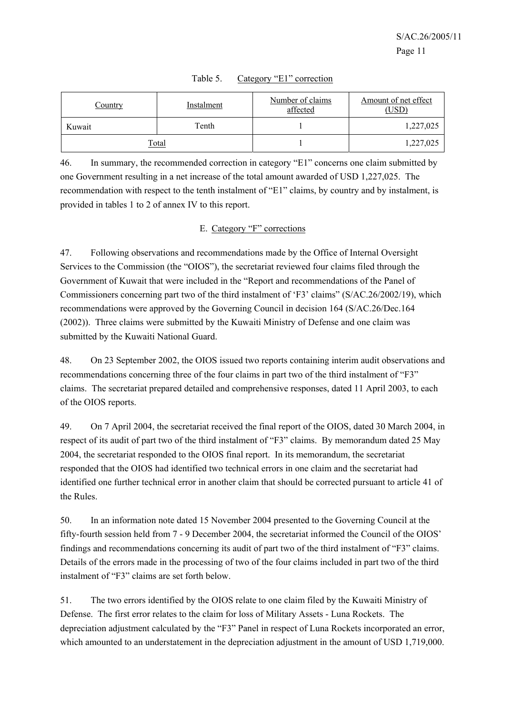| <b>Country</b> | Instalment | Number of claims<br>affected | Amount of net effect<br>(USD) |
|----------------|------------|------------------------------|-------------------------------|
| Kuwait         | Tenth      |                              | 1,227,025                     |
| <u>Total</u>   |            |                              | 1,227,025                     |

|  | Table 5. |  |  | Category "E1" correction |
|--|----------|--|--|--------------------------|
|--|----------|--|--|--------------------------|

46. In summary, the recommended correction in category "E1" concerns one claim submitted by one Government resulting in a net increase of the total amount awarded of USD 1,227,025. The recommendation with respect to the tenth instalment of "E1" claims, by country and by instalment, is provided in tables 1 to 2 of annex IV to this report.

#### E. Category "F" corrections

47. Following observations and recommendations made by the Office of Internal Oversight Services to the Commission (the "OIOS"), the secretariat reviewed four claims filed through the Government of Kuwait that were included in the "Report and recommendations of the Panel of Commissioners concerning part two of the third instalment of 'F3' claims" (S/AC.26/2002/19), which recommendations were approved by the Governing Council in decision 164 (S/AC.26/Dec.164 (2002)). Three claims were submitted by the Kuwaiti Ministry of Defense and one claim was submitted by the Kuwaiti National Guard.

48. On 23 September 2002, the OIOS issued two reports containing interim audit observations and recommendations concerning three of the four claims in part two of the third instalment of "F3" claims. The secretariat prepared detailed and comprehensive responses, dated 11 April 2003, to each of the OIOS reports.

49. On 7 April 2004, the secretariat received the final report of the OIOS, dated 30 March 2004, in respect of its audit of part two of the third instalment of "F3" claims. By memorandum dated 25 May 2004, the secretariat responded to the OIOS final report. In its memorandum, the secretariat responded that the OIOS had identified two technical errors in one claim and the secretariat had identified one further technical error in another claim that should be corrected pursuant to article 41 of the Rules.

50. In an information note dated 15 November 2004 presented to the Governing Council at the fifty-fourth session held from 7 - 9 December 2004, the secretariat informed the Council of the OIOS' findings and recommendations concerning its audit of part two of the third instalment of "F3" claims. Details of the errors made in the processing of two of the four claims included in part two of the third instalment of "F3" claims are set forth below.

51. The two errors identified by the OIOS relate to one claim filed by the Kuwaiti Ministry of Defense. The first error relates to the claim for loss of Military Assets - Luna Rockets. The depreciation adjustment calculated by the "F3" Panel in respect of Luna Rockets incorporated an error, which amounted to an understatement in the depreciation adjustment in the amount of USD 1,719,000.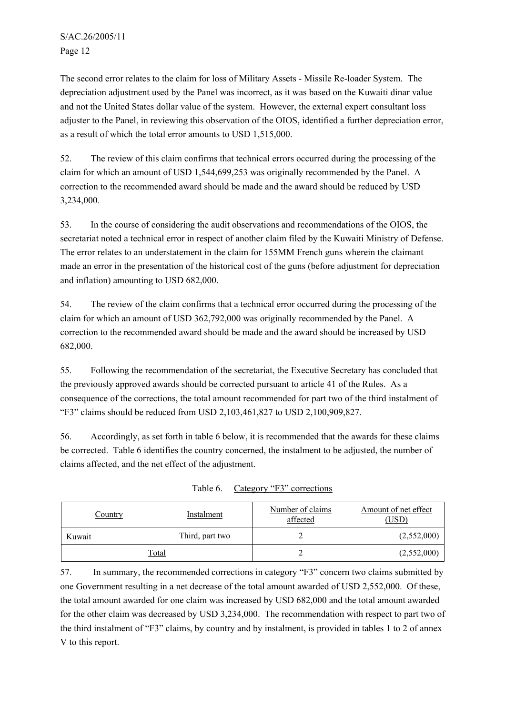The second error relates to the claim for loss of Military Assets - Missile Re-loader System. The depreciation adjustment used by the Panel was incorrect, as it was based on the Kuwaiti dinar value and not the United States dollar value of the system. However, the external expert consultant loss adjuster to the Panel, in reviewing this observation of the OIOS, identified a further depreciation error, as a result of which the total error amounts to USD 1,515,000.

52. The review of this claim confirms that technical errors occurred during the processing of the claim for which an amount of USD 1,544,699,253 was originally recommended by the Panel. A correction to the recommended award should be made and the award should be reduced by USD 3,234,000.

53. In the course of considering the audit observations and recommendations of the OIOS, the secretariat noted a technical error in respect of another claim filed by the Kuwaiti Ministry of Defense. The error relates to an understatement in the claim for 155MM French guns wherein the claimant made an error in the presentation of the historical cost of the guns (before adjustment for depreciation and inflation) amounting to USD 682,000.

54. The review of the claim confirms that a technical error occurred during the processing of the claim for which an amount of USD 362,792,000 was originally recommended by the Panel. A correction to the recommended award should be made and the award should be increased by USD 682,000.

55. Following the recommendation of the secretariat, the Executive Secretary has concluded that the previously approved awards should be corrected pursuant to article 41 of the Rules. As a consequence of the corrections, the total amount recommended for part two of the third instalment of "F3" claims should be reduced from USD 2,103,461,827 to USD 2,100,909,827.

56. Accordingly, as set forth in table 6 below, it is recommended that the awards for these claims be corrected. Table 6 identifies the country concerned, the instalment to be adjusted, the number of claims affected, and the net effect of the adjustment.

| <u>Country</u> | Instalment      | Number of claims<br>affected | Amount of net effect<br>(USD) |
|----------------|-----------------|------------------------------|-------------------------------|
| Kuwait         | Third, part two |                              | (2,552,000)                   |
| <u>Total</u>   |                 |                              | (2,552,000)                   |

| Table 6. Category "F3" corrections |  |  |  |
|------------------------------------|--|--|--|
|------------------------------------|--|--|--|

57. In summary, the recommended corrections in category "F3" concern two claims submitted by one Government resulting in a net decrease of the total amount awarded of USD 2,552,000. Of these, the total amount awarded for one claim was increased by USD 682,000 and the total amount awarded for the other claim was decreased by USD 3,234,000. The recommendation with respect to part two of the third instalment of "F3" claims, by country and by instalment, is provided in tables 1 to 2 of annex V to this report.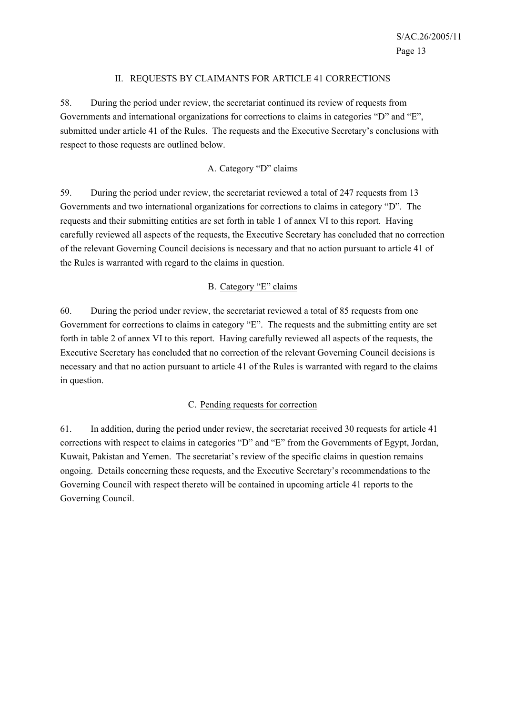#### II. REQUESTS BY CLAIMANTS FOR ARTICLE 41 CORRECTIONS

58. During the period under review, the secretariat continued its review of requests from Governments and international organizations for corrections to claims in categories "D" and "E", submitted under article 41 of the Rules. The requests and the Executive Secretary's conclusions with respect to those requests are outlined below.

## A. Category "D" claims

59. During the period under review, the secretariat reviewed a total of 247 requests from 13 Governments and two international organizations for corrections to claims in category "D". The requests and their submitting entities are set forth in table 1 of annex VI to this report. Having carefully reviewed all aspects of the requests, the Executive Secretary has concluded that no correction of the relevant Governing Council decisions is necessary and that no action pursuant to article 41 of the Rules is warranted with regard to the claims in question.

#### B. Category "E" claims

60. During the period under review, the secretariat reviewed a total of 85 requests from one Government for corrections to claims in category "E". The requests and the submitting entity are set forth in table 2 of annex VI to this report. Having carefully reviewed all aspects of the requests, the Executive Secretary has concluded that no correction of the relevant Governing Council decisions is necessary and that no action pursuant to article 41 of the Rules is warranted with regard to the claims in question.

#### C. Pending requests for correction

61. In addition, during the period under review, the secretariat received 30 requests for article 41 corrections with respect to claims in categories "D" and "E" from the Governments of Egypt, Jordan, Kuwait, Pakistan and Yemen. The secretariat's review of the specific claims in question remains ongoing. Details concerning these requests, and the Executive Secretary's recommendations to the Governing Council with respect thereto will be contained in upcoming article 41 reports to the Governing Council.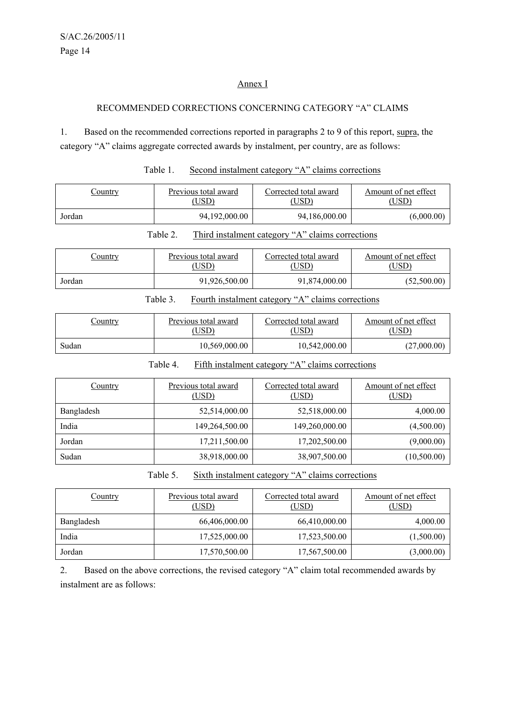#### Annex I

#### RECOMMENDED CORRECTIONS CONCERNING CATEGORY "A" CLAIMS

1. Based on the recommended corrections reported in paragraphs 2 to 9 of this report, supra, the category "A" claims aggregate corrected awards by instalment, per country, are as follows:

| Country | Previous total award | Corrected total award | Amount of net effect |
|---------|----------------------|-----------------------|----------------------|
|         | $\overline{USD}$     | USD)                  | USD <sup>)</sup>     |
| Jordan  | 94,192,000.00        | 94,186,000.00         | (6,000.00)           |

#### Table 1. Second instalment category "A" claims corrections

Table 2. Third instalment category "A" claims corrections

| <u>Country</u> | Previous total award | Corrected total award | Amount of net effect |  |
|----------------|----------------------|-----------------------|----------------------|--|
|                | ,USD).               | USD)                  | USD)                 |  |
| Jordan         | 91,926,500.00        | 91,874,000.00         | (52,500.00)          |  |

#### Table 3. Fourth instalment category "A" claims corrections

| <u>Country</u> | Previous total award | Corrected total award | Amount of net effect |  |
|----------------|----------------------|-----------------------|----------------------|--|
|                | USD)                 | USD)                  | USD)                 |  |
| Sudan          | 10,569,000.00        | 10,542,000.00         | (27,000.00)          |  |

#### Table 4. Fifth instalment category "A" claims corrections

| Country    | Previous total award<br>(USD) | Corrected total award<br>(USD) | Amount of net effect<br>(USD) |  |
|------------|-------------------------------|--------------------------------|-------------------------------|--|
| Bangladesh | 52,514,000.00                 | 52,518,000.00                  | 4,000.00                      |  |
| India      | 149,264,500.00                | 149,260,000.00                 | (4,500.00)                    |  |
| Jordan     | 17,211,500.00                 | 17,202,500.00                  | (9,000.00)                    |  |
| Sudan      | 38,918,000.00                 | 38,907,500.00                  | (10,500.00)                   |  |

Table 5. Sixth instalment category "A" claims corrections

| <b>Country</b> | Corrected total award<br>Previous total award<br>(USD)<br>(USD) |               | Amount of net effect<br>(USD) |  |
|----------------|-----------------------------------------------------------------|---------------|-------------------------------|--|
| Bangladesh     | 66,406,000.00                                                   | 66,410,000.00 | 4,000.00                      |  |
| India          | 17,525,000.00                                                   | 17,523,500.00 | (1,500.00)                    |  |
| Jordan         | 17,570,500.00                                                   | 17,567,500.00 | (3,000.00)                    |  |

2. Based on the above corrections, the revised category "A" claim total recommended awards by instalment are as follows: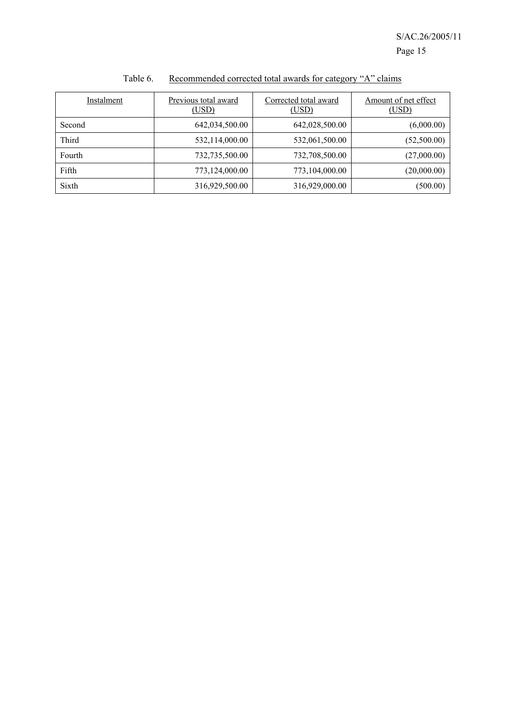| Instalment | Previous total award<br>(USD) | Corrected total award<br>(USD) | Amount of net effect<br>(USD) |  |
|------------|-------------------------------|--------------------------------|-------------------------------|--|
| Second     | 642,034,500.00                | 642,028,500.00                 | (6,000.00)                    |  |
| Third      | 532,114,000.00                | 532,061,500.00                 | (52,500.00)                   |  |
| Fourth     | 732,735,500.00                | 732,708,500.00                 | (27,000.00)                   |  |
| Fifth      | 773,124,000.00                | 773,104,000.00                 | (20,000.00)                   |  |
| Sixth      | 316,929,500.00                | 316,929,000.00                 | (500.00)                      |  |

## Table 6. Recommended corrected total awards for category "A" claims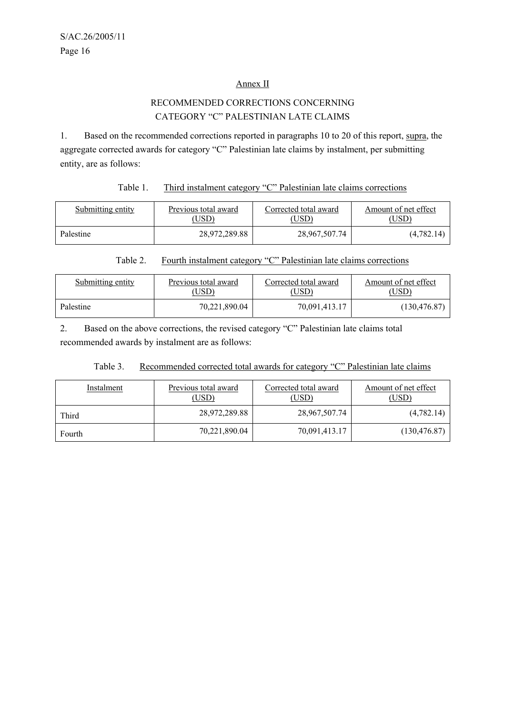#### Annex II

## RECOMMENDED CORRECTIONS CONCERNING CATEGORY "C" PALESTINIAN LATE CLAIMS

1. Based on the recommended corrections reported in paragraphs 10 to 20 of this report, supra, the aggregate corrected awards for category "C" Palestinian late claims by instalment, per submitting entity, are as follows:

#### Table 1. Third instalment category "C" Palestinian late claims corrections

| Submitting entity | Previous total award | Corrected total award | Amount of net effect |  |
|-------------------|----------------------|-----------------------|----------------------|--|
|                   | $\big($ USD)         | USD)                  | USD)                 |  |
| Palestine         | 28.972.289.88        | 28,967,507.74         | (4,782.14)           |  |

#### Table 2. Fourth instalment category "C" Palestinian late claims corrections

| Submitting entity | Previous total award | Corrected total award | Amount of net effect |  |
|-------------------|----------------------|-----------------------|----------------------|--|
|                   | USD).                | USD)                  | (USD)                |  |
| Palestine         | 70.221.890.04        | 70,091,413.17         | (130, 476.87)        |  |

2. Based on the above corrections, the revised category "C" Palestinian late claims total recommended awards by instalment are as follows:

#### Table 3. Recommended corrected total awards for category "C" Palestinian late claims

| Instalment | Previous total award<br>(USD) | Corrected total award<br>(USD) | Amount of net effect<br>(USD` |
|------------|-------------------------------|--------------------------------|-------------------------------|
| Third      | 28,972,289.88                 | 28,967,507.74                  | (4,782.14)                    |
| Fourth     | 70,221,890.04                 | 70,091,413.17                  | (130, 476.87)                 |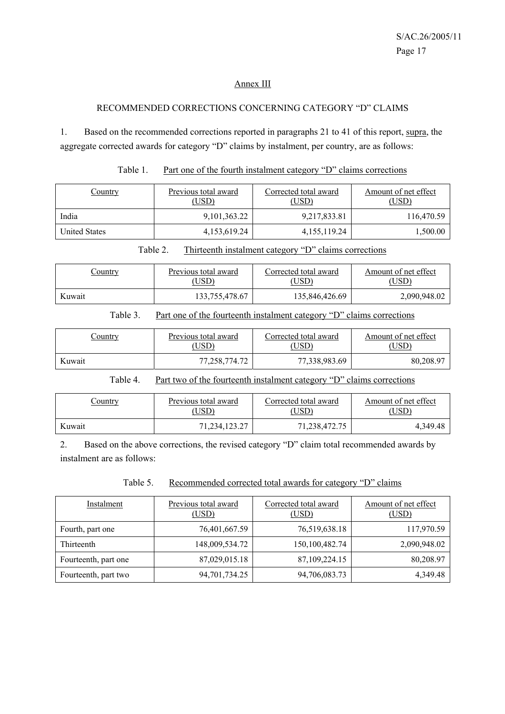#### Annex III

#### RECOMMENDED CORRECTIONS CONCERNING CATEGORY "D" CLAIMS

1. Based on the recommended corrections reported in paragraphs 21 to 41 of this report, supra, the aggregate corrected awards for category "D" claims by instalment, per country, are as follows:

|--|

| Country              | Previous total award<br>(USD) | Corrected total award<br>(USD) | Amount of net effect<br>(USD) |  |
|----------------------|-------------------------------|--------------------------------|-------------------------------|--|
| India                | 9, 101, 363. 22               | 9,217,833.81                   | 116,470.59                    |  |
| <b>United States</b> | 4,153,619.24                  | 4, 155, 119.24                 | 1,500.00                      |  |

Table 2. Thirteenth instalment category "D" claims corrections

| <u>Country</u> | Previous total award | Corrected total award | Amount of net effect |  |
|----------------|----------------------|-----------------------|----------------------|--|
|                | USD)                 | USD)                  | ,USD <sup>)</sup>    |  |
| Kuwait         | 133,755,478.67       | 135,846,426.69        | 2,090,948.02         |  |

| Table 3. |  |  |  | Part one of the fourteenth instalment category "D" claims corrections |
|----------|--|--|--|-----------------------------------------------------------------------|
|          |  |  |  |                                                                       |

| <u>Country</u> | Previous total award | Corrected total award | Amount of net effect |  |
|----------------|----------------------|-----------------------|----------------------|--|
|                | USD)                 | USD <sup>3</sup>      | (USD                 |  |
| Kuwait         | 77,258,774.72        | 77,338,983.69         | 80,208.97            |  |

#### Table 4. Part two of the fourteenth instalment category "D" claims corrections

| <u>Country</u> | Previous total award | Corrected total award | Amount of net effect |
|----------------|----------------------|-----------------------|----------------------|
|                | USD <sup>3</sup>     | USD)                  | USD'                 |
| Kuwait         | 71, 234, 123. 27     | 71,238,472.75         | 4.349.48             |

2. Based on the above corrections, the revised category "D" claim total recommended awards by instalment are as follows:

|--|

| Instalment           | Previous total award<br>(USD) | Corrected total award<br>(USD) | Amount of net effect<br>(USD) |
|----------------------|-------------------------------|--------------------------------|-------------------------------|
| Fourth, part one     | 76,401,667.59                 | 76,519,638.18                  | 117,970.59                    |
| Thirteenth           | 148,009,534.72                | 150,100,482.74                 | 2,090,948.02                  |
| Fourteenth, part one | 87,029,015.18                 | 87,109,224.15                  | 80,208.97                     |
| Fourteenth, part two | 94,701,734.25                 | 94,706,083.73                  | 4,349.48                      |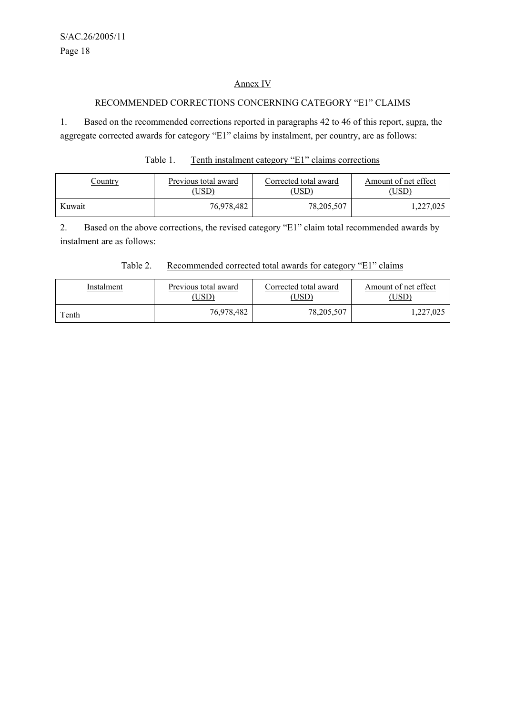#### Annex IV

## RECOMMENDED CORRECTIONS CONCERNING CATEGORY "E1" CLAIMS

1. Based on the recommended corrections reported in paragraphs 42 to 46 of this report, supra, the aggregate corrected awards for category "E1" claims by instalment, per country, are as follows:

| Table 1. | Tenth instalment category "E1" claims corrections |  |  |
|----------|---------------------------------------------------|--|--|
|          |                                                   |  |  |

| <u>Country</u> | Previous total award | Corrected total award | Amount of net effect |
|----------------|----------------------|-----------------------|----------------------|
|                | USD)                 | USD)                  | $USD^{\circ}$        |
| Kuwait         | 76,978,482           | 78,205,507            | ,227,025             |

2. Based on the above corrections, the revised category "E1" claim total recommended awards by instalment are as follows:

## Table 2. Recommended corrected total awards for category "E1" claims

| Instalment | Previous total award | Corrected total award | Amount of net effect |
|------------|----------------------|-----------------------|----------------------|
|            | USD)                 | USD)                  | USD                  |
| Tenth      | 76,978,482           | 78,205,507            | ,227,025             |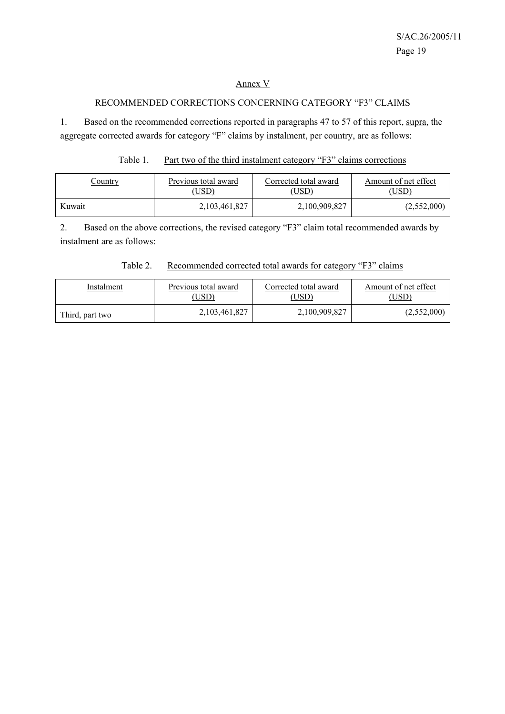#### Annex V

## RECOMMENDED CORRECTIONS CONCERNING CATEGORY "F3" CLAIMS

1. Based on the recommended corrections reported in paragraphs 47 to 57 of this report, supra, the aggregate corrected awards for category "F" claims by instalment, per country, are as follows:

#### Table 1. Part two of the third instalment category "F3" claims corrections

| <u>Country</u> | Previous total award | Corrected total award | Amount of net effect |
|----------------|----------------------|-----------------------|----------------------|
|                | USD)                 | USD <sup>)</sup>      | 'USD                 |
| Kuwait         | 2, 103, 461, 827     | 2,100,909,827         | (2,552,000)          |

2. Based on the above corrections, the revised category "F3" claim total recommended awards by instalment are as follows:

#### Table 2. Recommended corrected total awards for category "F3" claims

| Instalment      | Previous total award | Corrected total award | Amount of net effect |
|-----------------|----------------------|-----------------------|----------------------|
|                 | USD)                 | USD)                  | (USD)                |
| Third, part two | 2,103,461,827        | 2,100,909,827         | (2,552,000)          |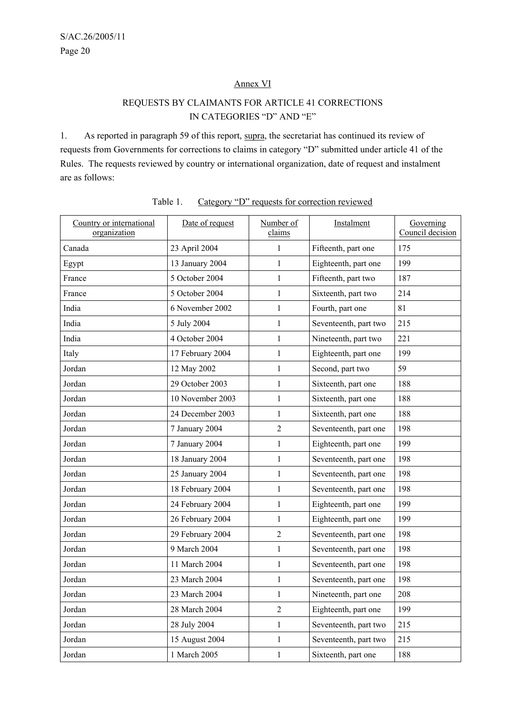#### Annex VI

## REQUESTS BY CLAIMANTS FOR ARTICLE 41 CORRECTIONS IN CATEGORIES "D" AND "E"

1. As reported in paragraph 59 of this report, supra, the secretariat has continued its review of requests from Governments for corrections to claims in category "D" submitted under article 41 of the Rules. The requests reviewed by country or international organization, date of request and instalment are as follows:

| Country or international<br>organization | Date of request  | Number of<br>claims | Instalment            | Governing<br>Council decision |
|------------------------------------------|------------------|---------------------|-----------------------|-------------------------------|
| Canada                                   | 23 April 2004    | 1                   | Fifteenth, part one   | 175                           |
| Egypt                                    | 13 January 2004  | $\mathbf{1}$        | Eighteenth, part one  | 199                           |
| France                                   | 5 October 2004   | $\mathbf{1}$        | Fifteenth, part two   | 187                           |
| France                                   | 5 October 2004   | $\mathbf{1}$        | Sixteenth, part two   | 214                           |
| India                                    | 6 November 2002  | $\mathbf{1}$        | Fourth, part one      | 81                            |
| India                                    | 5 July 2004      | $\mathbf{1}$        | Seventeenth, part two | 215                           |
| India                                    | 4 October 2004   | $\mathbf{1}$        | Nineteenth, part two  | 221                           |
| Italy                                    | 17 February 2004 | $\mathbf{1}$        | Eighteenth, part one  | 199                           |
| Jordan                                   | 12 May 2002      | $\mathbf{1}$        | Second, part two      | 59                            |
| Jordan                                   | 29 October 2003  | $\mathbf{1}$        | Sixteenth, part one   | 188                           |
| Jordan                                   | 10 November 2003 | $\mathbf{1}$        | Sixteenth, part one   | 188                           |
| Jordan                                   | 24 December 2003 | $\mathbf{1}$        | Sixteenth, part one   | 188                           |
| Jordan                                   | 7 January 2004   | 2                   | Seventeenth, part one | 198                           |
| Jordan                                   | 7 January 2004   | $\mathbf{1}$        | Eighteenth, part one  | 199                           |
| Jordan                                   | 18 January 2004  | $\mathbf{1}$        | Seventeenth, part one | 198                           |
| Jordan                                   | 25 January 2004  | $\mathbf{1}$        | Seventeenth, part one | 198                           |
| Jordan                                   | 18 February 2004 | $\mathbf{1}$        | Seventeenth, part one | 198                           |
| Jordan                                   | 24 February 2004 | $\mathbf{1}$        | Eighteenth, part one  | 199                           |
| Jordan                                   | 26 February 2004 | $\mathbf{1}$        | Eighteenth, part one  | 199                           |
| Jordan                                   | 29 February 2004 | $\overline{c}$      | Seventeenth, part one | 198                           |
| Jordan                                   | 9 March 2004     | $\mathbf{1}$        | Seventeenth, part one | 198                           |
| Jordan                                   | 11 March 2004    | $\mathbf{1}$        | Seventeenth, part one | 198                           |
| Jordan                                   | 23 March 2004    | 1                   | Seventeenth, part one | 198                           |
| Jordan                                   | 23 March 2004    | 1                   | Nineteenth, part one  | 208                           |
| Jordan                                   | 28 March 2004    | $\overline{2}$      | Eighteenth, part one  | 199                           |
| Jordan                                   | 28 July 2004     | $\mathbf{1}$        | Seventeenth, part two | 215                           |
| Jordan                                   | 15 August 2004   | $\mathbf{1}$        | Seventeenth, part two | 215                           |
| Jordan                                   | 1 March 2005     | $\mathbf{1}$        | Sixteenth, part one   | 188                           |

## Table 1. Category "D" requests for correction reviewed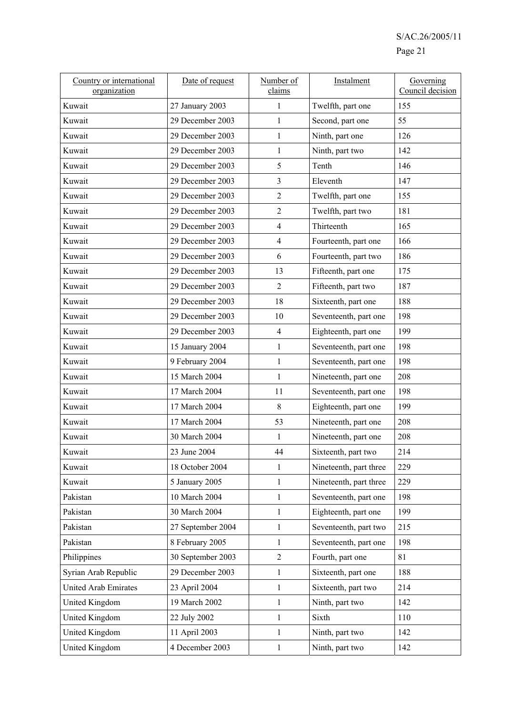| Country or international<br>organization | Date of request   | Number of<br>claims | Instalment             | Governing<br>Council decision |
|------------------------------------------|-------------------|---------------------|------------------------|-------------------------------|
| Kuwait                                   | 27 January 2003   | 1                   | Twelfth, part one      | 155                           |
| Kuwait                                   | 29 December 2003  | 1                   | Second, part one       | 55                            |
| Kuwait                                   | 29 December 2003  | $\mathbf{1}$        | Ninth, part one        | 126                           |
| Kuwait                                   | 29 December 2003  | $\mathbf{1}$        | Ninth, part two        | 142                           |
| Kuwait                                   | 29 December 2003  | 5                   | Tenth                  | 146                           |
| Kuwait                                   | 29 December 2003  | 3                   | Eleventh               | 147                           |
| Kuwait                                   | 29 December 2003  | $\overline{2}$      | Twelfth, part one      | 155                           |
| Kuwait                                   | 29 December 2003  | $\overline{c}$      | Twelfth, part two      | 181                           |
| Kuwait                                   | 29 December 2003  | $\overline{4}$      | Thirteenth             | 165                           |
| Kuwait                                   | 29 December 2003  | $\overline{4}$      | Fourteenth, part one   | 166                           |
| Kuwait                                   | 29 December 2003  | 6                   | Fourteenth, part two   | 186                           |
| Kuwait                                   | 29 December 2003  | 13                  | Fifteenth, part one    | 175                           |
| Kuwait                                   | 29 December 2003  | 2                   | Fifteenth, part two    | 187                           |
| Kuwait                                   | 29 December 2003  | 18                  | Sixteenth, part one    | 188                           |
| Kuwait                                   | 29 December 2003  | 10                  | Seventeenth, part one  | 198                           |
| Kuwait                                   | 29 December 2003  | $\overline{4}$      | Eighteenth, part one   | 199                           |
| Kuwait                                   | 15 January 2004   | $\mathbf{1}$        | Seventeenth, part one  | 198                           |
| Kuwait                                   | 9 February 2004   | $\mathbf{1}$        | Seventeenth, part one  | 198                           |
| Kuwait                                   | 15 March 2004     | $\mathbf{1}$        | Nineteenth, part one   | 208                           |
| Kuwait                                   | 17 March 2004     | 11                  | Seventeenth, part one  | 198                           |
| Kuwait                                   | 17 March 2004     | 8                   | Eighteenth, part one   | 199                           |
| Kuwait                                   | 17 March 2004     | 53                  | Nineteenth, part one   | 208                           |
| Kuwait                                   | 30 March 2004     | 1                   | Nineteenth, part one   | 208                           |
| Kuwait                                   | 23 June 2004      | 44                  | Sixteenth, part two    | 214                           |
| Kuwait                                   | 18 October 2004   | 1                   | Nineteenth, part three | 229                           |
| Kuwait                                   | 5 January 2005    | 1                   | Nineteenth, part three | 229                           |
| Pakistan                                 | 10 March 2004     | 1                   | Seventeenth, part one  | 198                           |
| Pakistan                                 | 30 March 2004     | 1                   | Eighteenth, part one   | 199                           |
| Pakistan                                 | 27 September 2004 | $\mathbf{1}$        | Seventeenth, part two  | 215                           |
| Pakistan                                 | 8 February 2005   | 1                   | Seventeenth, part one  | 198                           |
| Philippines                              | 30 September 2003 | $\overline{2}$      | Fourth, part one       | 81                            |
| Syrian Arab Republic                     | 29 December 2003  | $\mathbf{1}$        | Sixteenth, part one    | 188                           |
| <b>United Arab Emirates</b>              | 23 April 2004     | $\mathbf{1}$        | Sixteenth, part two    | 214                           |
| <b>United Kingdom</b>                    | 19 March 2002     | $\mathbf{1}$        | Ninth, part two        | 142                           |
| United Kingdom                           | 22 July 2002      | $\mathbf{1}$        | Sixth                  | 110                           |
| <b>United Kingdom</b>                    | 11 April 2003     | $\mathbf{1}$        | Ninth, part two        | 142                           |
| <b>United Kingdom</b>                    | 4 December 2003   | $\mathbf{1}$        | Ninth, part two        | 142                           |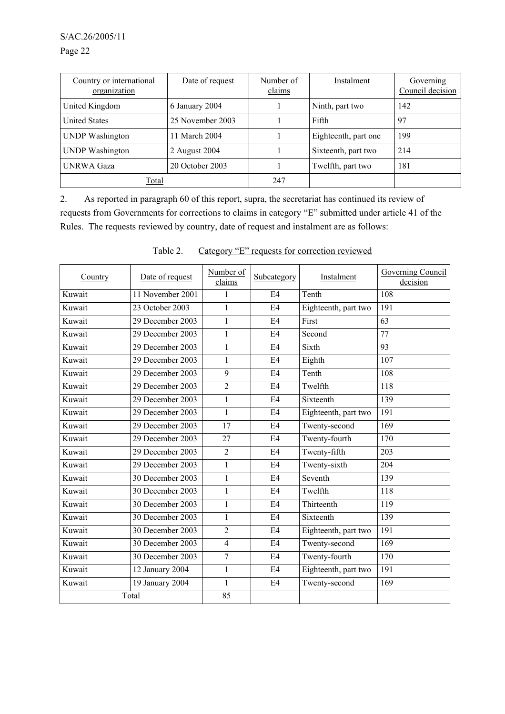Page 22

| Country or international<br>organization | Date of request  | Number of<br>claims | Instalment           | Governing<br>Council decision |
|------------------------------------------|------------------|---------------------|----------------------|-------------------------------|
| United Kingdom                           | 6 January 2004   |                     | Ninth, part two      | 142                           |
| <b>United States</b>                     | 25 November 2003 |                     | Fifth                | 97                            |
| <b>UNDP</b> Washington                   | 11 March 2004    |                     | Eighteenth, part one | 199                           |
| <b>UNDP</b> Washington                   | 2 August 2004    |                     | Sixteenth, part two  | 214                           |
| <b>UNRWA Gaza</b>                        | 20 October 2003  |                     | Twelfth, part two    | 181                           |
| <b>Total</b>                             |                  | 247                 |                      |                               |

2. As reported in paragraph 60 of this report, supra, the secretariat has continued its review of requests from Governments for corrections to claims in category "E" submitted under article 41 of the Rules. The requests reviewed by country, date of request and instalment are as follows:

| Country | Date of request              | Number of<br>claims | Subcategory    | Instalment           | <b>Governing Council</b><br>decision |
|---------|------------------------------|---------------------|----------------|----------------------|--------------------------------------|
| Kuwait  | 11 November 2001             | 1                   | E4             | Tenth                | 108                                  |
| Kuwait  | 23 October 2003              | 1                   | E4             | Eighteenth, part two | 191                                  |
| Kuwait  | 29 December 2003             | 1                   | E <sub>4</sub> | First                | 63                                   |
| Kuwait  | 29 December 2003             | 1                   | E <sub>4</sub> | Second               | 77                                   |
| Kuwait  | 29 December 2003             | $\mathbf{1}$        | E4             | Sixth                | 93                                   |
| Kuwait  | 29 December 2003             | 1                   | E <sub>4</sub> | Eighth               | 107                                  |
| Kuwait  | 29 December 2003             | 9                   | E <sub>4</sub> | Tenth                | 108                                  |
| Kuwait  | 29 December 2003             | $\overline{2}$      | E <sub>4</sub> | Twelfth              | 118                                  |
| Kuwait  | 29 December 2003             | $\mathbf{1}$        | E4             | Sixteenth            | 139                                  |
| Kuwait  | 29 December 2003             | $\mathbf{1}$        | E <sub>4</sub> | Eighteenth, part two | 191                                  |
| Kuwait  | 29 December 2003             | 17                  | E <sub>4</sub> | Twenty-second        | 169                                  |
| Kuwait  | 29 December 2003             | 27                  | E4             | Twenty-fourth        | 170                                  |
| Kuwait  | 29 December 2003             | $\overline{2}$      | E4             | Twenty-fifth         | 203                                  |
| Kuwait  | 29 December 2003             | $\mathbf{1}$        | E <sub>4</sub> | Twenty-sixth         | 204                                  |
| Kuwait  | 30 December 2003             | $\mathbf{1}$        | E <sub>4</sub> | Seventh              | 139                                  |
| Kuwait  | 30 December 2003             | $\mathbf{1}$        | E <sub>4</sub> | Twelfth              | 118                                  |
| Kuwait  | 30 December 2003             | $\mathbf{1}$        | E <sub>4</sub> | Thirteenth           | 119                                  |
| Kuwait  | 30 December 2003             | 1                   | E4             | Sixteenth            | 139                                  |
| Kuwait  | 30 December 2003             | $\overline{2}$      | E <sub>4</sub> | Eighteenth, part two | 191                                  |
| Kuwait  | 30 December 2003             | $\overline{4}$      | E <sub>4</sub> | Twenty-second        | 169                                  |
| Kuwait  | 30 December 2003             | 7                   | E4             | Twenty-fourth        | 170                                  |
| Kuwait  | 12 January 2004              | 1                   | E <sub>4</sub> | Eighteenth, part two | 191                                  |
| Kuwait  | $\overline{19}$ January 2004 | $\mathbf{1}$        | E <sub>4</sub> | Twenty-second        | 169                                  |
|         | Total                        | 85                  |                |                      |                                      |

| Table 2. |  |  | Category "E" requests for correction reviewed |  |
|----------|--|--|-----------------------------------------------|--|
|          |  |  |                                               |  |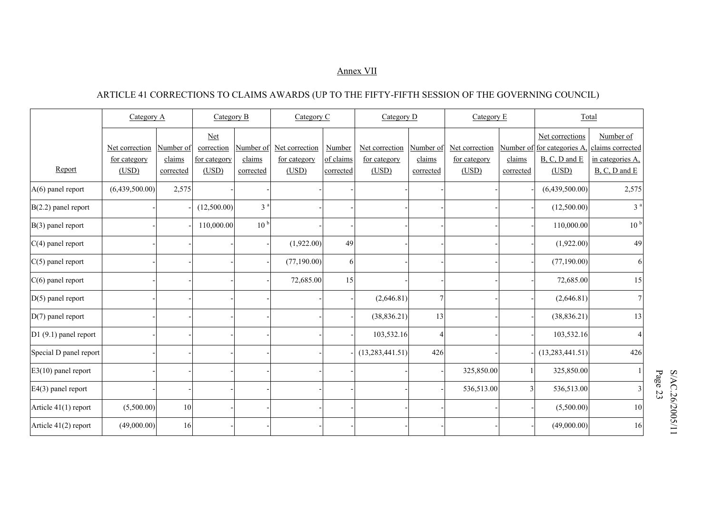#### Annex VII

## ARTICLE 41 CORRECTIONS TO CLAIMS AWARDS (UP TO THE FIFTY-FIFTH SESSION OF THE GOVERNING COUNCIL)

|                        | Category A                     |                     |                                          |                     | Category B                     |                     | Category C                     |                     | Category $D$                   |                | Category $E$                                                        |                                                   | Total |  |
|------------------------|--------------------------------|---------------------|------------------------------------------|---------------------|--------------------------------|---------------------|--------------------------------|---------------------|--------------------------------|----------------|---------------------------------------------------------------------|---------------------------------------------------|-------|--|
|                        | Net correction<br>for category | Number of<br>claims | <b>Net</b><br>correction<br>for category | Number of<br>claims | Net correction<br>for category | Number<br>of claims | Net correction<br>for category | Number of<br>claims | Net correction<br>for category | claims         | Net corrections<br>Number of for categories A,<br>$B, C, D$ and $E$ | Number of<br>claims corrected<br>in categories A. |       |  |
| Report                 | (USD)                          | corrected           | (USD)                                    | corrected           | (USD)                          | corrected           | (USD)                          | corrected           | (USD)                          | corrected      | (USD)                                                               | $B, C, D$ and $E$                                 |       |  |
| $A(6)$ panel report    | (6,439,500.00)                 | 2,575               |                                          |                     |                                |                     |                                |                     |                                |                | (6,439,500.00)                                                      | 2,575                                             |       |  |
| $B(2.2)$ panel report  |                                |                     | (12,500.00)                              | 3 <sup>a</sup>      |                                |                     |                                |                     |                                |                | (12,500.00)                                                         | 3 <sup>a</sup>                                    |       |  |
| $B(3)$ panel report    |                                |                     | 110,000.00                               | 10 <sup>b</sup>     |                                |                     |                                |                     |                                |                | 110,000.00                                                          | 10 <sup>b</sup>                                   |       |  |
| $C(4)$ panel report    |                                |                     |                                          |                     | (1,922.00)                     | 49                  |                                |                     |                                |                | (1,922.00)                                                          | 49                                                |       |  |
| $ C(5)$ panel report   |                                |                     |                                          |                     | (77,190.00)                    | 6                   |                                |                     |                                |                | (77, 190.00)                                                        | 6                                                 |       |  |
| $C(6)$ panel report    |                                |                     |                                          |                     | 72,685.00                      | 15                  |                                |                     |                                |                | 72,685.00                                                           | 15                                                |       |  |
| $D(5)$ panel report    |                                |                     |                                          |                     |                                |                     | (2,646.81)                     | 7                   |                                |                | (2,646.81)                                                          | $\overline{7}$                                    |       |  |
| $D(7)$ panel report    |                                |                     |                                          |                     |                                |                     | (38, 836.21)                   | 13                  |                                |                | (38, 836.21)                                                        | 13                                                |       |  |
| $D1(9.1)$ panel report |                                |                     |                                          |                     |                                |                     | 103,532.16                     | 4                   |                                |                | 103,532.16                                                          | 4                                                 |       |  |
| Special D panel report |                                |                     |                                          |                     |                                |                     | (13, 283, 441.51)              | 426                 |                                |                | (13, 283, 441.51)                                                   | 426                                               |       |  |
| $E3(10)$ panel report  |                                |                     |                                          |                     |                                |                     |                                |                     | 325,850.00                     |                | 325,850.00                                                          |                                                   |       |  |
| $E4(3)$ panel report   |                                |                     |                                          |                     |                                |                     |                                |                     | 536,513.00                     | $\overline{3}$ | 536,513.00                                                          | 3                                                 |       |  |
| Article 41(1) report   | (5,500.00)                     | 10                  |                                          |                     |                                |                     |                                |                     |                                |                | (5,500.00)                                                          | 10                                                |       |  |
| Article 41(2) report   | (49,000.00)                    | 16                  |                                          |                     |                                |                     |                                |                     |                                |                | (49,000.00)                                                         | 16                                                |       |  |

S/AC.26/2005/11<br>Page 23 S/AC.26/2005/11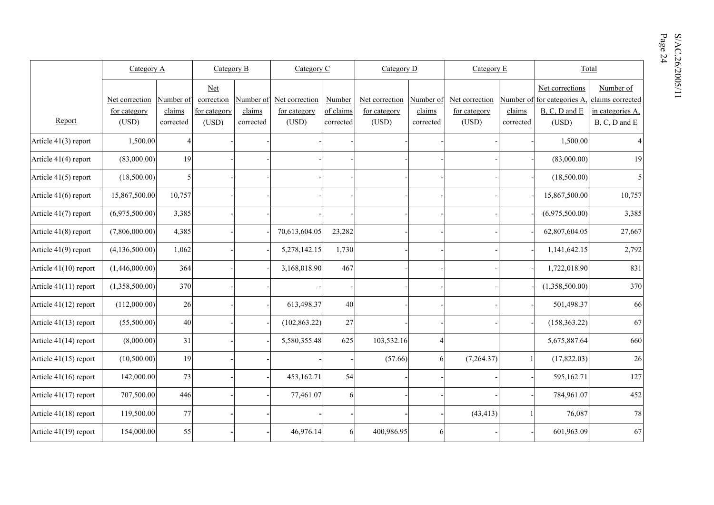|    | Page<br>$\tilde{\zeta}$ | S           |
|----|-------------------------|-------------|
|    |                         | ా<br>Q<br>0 |
| of |                         |             |

|                       | Category A            |                     | Category B            |                     | Category C            |                        | Category D            |                     | Category E            |                     | Total                                         |                                       |  |
|-----------------------|-----------------------|---------------------|-----------------------|---------------------|-----------------------|------------------------|-----------------------|---------------------|-----------------------|---------------------|-----------------------------------------------|---------------------------------------|--|
|                       | Net correction        | Number of           | Net<br>correction     | Number of           | Net correction        | Number                 | Net correction        | Number of           | Net correction        |                     | Net corrections<br>Number of for categories A | Number of<br>claims corrected         |  |
| Report                | for category<br>(USD) | claims<br>corrected | for category<br>(USD) | claims<br>corrected | for category<br>(USD) | of claims<br>corrected | for category<br>(USD) | claims<br>corrected | for category<br>(USD) | claims<br>corrected | $B, C, D$ and $E$<br>(USD)                    | in categories A.<br>$B, C, D$ and $E$ |  |
| Article 41(3) report  | 1,500.00              | $\overline{4}$      |                       |                     |                       |                        |                       |                     |                       |                     | 1,500.00                                      |                                       |  |
| Article 41(4) report  | (83,000.00)           | 19                  |                       |                     |                       |                        |                       |                     |                       |                     | (83,000.00)                                   | 19                                    |  |
| Article 41(5) report  | (18,500.00)           | 5                   |                       |                     |                       |                        |                       |                     |                       |                     | (18,500.00)                                   | 5                                     |  |
| Article 41(6) report  | 15,867,500.00         | 10,757              |                       |                     |                       |                        |                       |                     |                       |                     | 15,867,500.00                                 | 10,757                                |  |
| Article 41(7) report  | (6,975,500.00)        | 3,385               |                       |                     |                       |                        |                       |                     |                       |                     | (6,975,500.00)                                | 3,385                                 |  |
| Article 41(8) report  | (7,806,000.00)        | 4,385               |                       |                     | 70,613,604.05         | 23,282                 |                       |                     |                       |                     | 62,807,604.05                                 | 27,667                                |  |
| Article 41(9) report  | (4,136,500.00)        | 1,062               |                       |                     | 5,278,142.15          | 1,730                  |                       |                     |                       |                     | 1,141,642.15                                  | 2,792                                 |  |
| Article 41(10) report | (1,446,000.00)        | 364                 |                       |                     | 3,168,018.90          | 467                    |                       |                     |                       |                     | 1,722,018.90                                  | 831                                   |  |
| Article 41(11) report | (1,358,500.00)        | 370                 |                       |                     |                       |                        |                       |                     |                       |                     | (1,358,500.00)                                | 370                                   |  |
| Article 41(12) report | (112,000.00)          | 26                  |                       |                     | 613,498.37            | 40                     |                       |                     |                       |                     | 501,498.37                                    | 66                                    |  |
| Article 41(13) report | (55,500.00)           | 40                  |                       |                     | (102, 863.22)         | 27                     |                       |                     |                       |                     | (158, 363.22)                                 | 67                                    |  |
| Article 41(14) report | (8,000.00)            | 31                  |                       |                     | 5,580,355.48          | 625                    | 103,532.16            | $\overline{4}$      |                       |                     | 5,675,887.64                                  | 660                                   |  |
| Article 41(15) report | (10,500.00)           | 19                  |                       |                     |                       |                        | (57.66)               | 6                   | (7,264.37)            |                     | (17,822.03)                                   | 26                                    |  |
| Article 41(16) report | 142,000.00            | 73                  |                       |                     | 453,162.71            | 54                     |                       |                     |                       |                     | 595,162.71                                    | 127                                   |  |
| Article 41(17) report | 707,500.00            | 446                 |                       |                     | 77,461.07             | 6                      |                       |                     |                       |                     | 784,961.07                                    | 452                                   |  |
| Article 41(18) report | 119,500.00            | 77                  |                       |                     |                       |                        |                       |                     | (43, 413)             |                     | 76,087                                        | 78                                    |  |
| Article 41(19) report | 154,000.00            | 55                  |                       |                     | 46,976.14             | 6                      | 400,986.95            | 6                   |                       |                     | 601,963.09                                    | 67                                    |  |